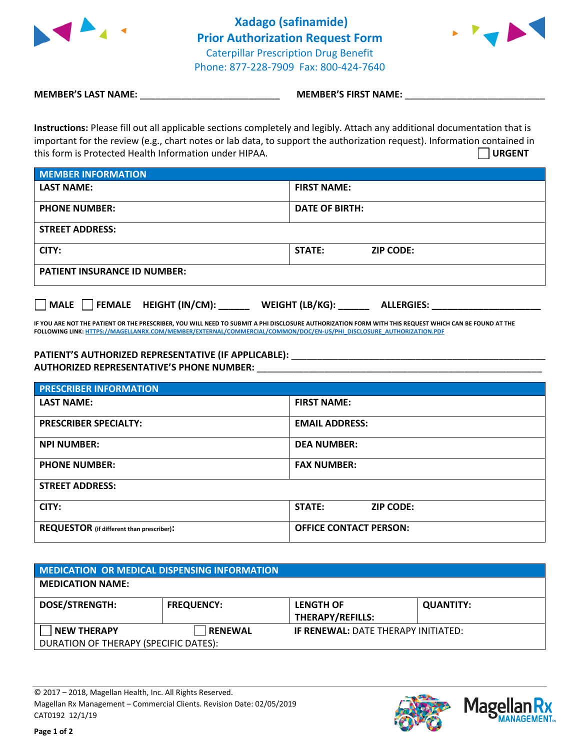



**MEMBER'S LAST NAME:**  $\blacksquare$  **MEMBER'S FIRST NAME:**  $\blacksquare$ 

**Instructions:** Please fill out all applicable sections completely and legibly. Attach any additional documentation that is important for the review (e.g., chart notes or lab data, to support the authorization request). Information contained in this form is Protected Health Information under HIPAA. **URGENT**

| <b>MEMBER INFORMATION</b>           |                            |
|-------------------------------------|----------------------------|
| <b>LAST NAME:</b>                   | <b>FIRST NAME:</b>         |
| <b>PHONE NUMBER:</b>                | <b>DATE OF BIRTH:</b>      |
| <b>STREET ADDRESS:</b>              |                            |
| CITY:                               | STATE:<br><b>ZIP CODE:</b> |
| <b>PATIENT INSURANCE ID NUMBER:</b> |                            |

**MALE FEMALE HEIGHT (IN/CM): \_\_\_\_\_\_ WEIGHT (LB/KG): \_\_\_\_\_\_ ALLERGIES: \_\_\_\_\_\_\_\_\_\_\_\_\_\_\_\_\_\_\_\_\_**

**IF YOU ARE NOT THE PATIENT OR THE PRESCRIBER, YOU WILL NEED TO SUBMIT A PHI DISCLOSURE AUTHORIZATION FORM WITH THIS REQUEST WHICH CAN BE FOUND AT THE FOLLOWING LINK[: HTTPS://MAGELLANRX.COM/MEMBER/EXTERNAL/COMMERCIAL/COMMON/DOC/EN-US/PHI\\_DISCLOSURE\\_AUTHORIZATION.PDF](https://magellanrx.com/member/external/commercial/common/doc/en-us/PHI_Disclosure_Authorization.pdf)**

## **PATIENT'S AUTHORIZED REPRESENTATIVE (IF APPLICABLE):** \_\_\_\_\_\_\_\_\_\_\_\_\_\_\_\_\_\_\_\_\_\_\_\_\_\_\_\_\_\_\_\_\_\_\_\_\_\_\_\_\_\_\_\_\_\_\_\_\_ **AUTHORIZED REPRESENTATIVE'S PHONE NUMBER:** \_\_\_\_\_\_\_\_\_\_\_\_\_\_\_\_\_\_\_\_\_\_\_\_\_\_\_\_\_\_\_\_\_\_\_\_\_\_\_\_\_\_\_\_\_\_\_\_\_\_\_\_\_\_\_

| <b>PRESCRIBER INFORMATION</b>             |                                   |
|-------------------------------------------|-----------------------------------|
| <b>LAST NAME:</b>                         | <b>FIRST NAME:</b>                |
| <b>PRESCRIBER SPECIALTY:</b>              | <b>EMAIL ADDRESS:</b>             |
| <b>NPI NUMBER:</b>                        | <b>DEA NUMBER:</b>                |
| <b>PHONE NUMBER:</b>                      | <b>FAX NUMBER:</b>                |
| <b>STREET ADDRESS:</b>                    |                                   |
| CITY:                                     | <b>STATE:</b><br><b>ZIP CODE:</b> |
| REQUESTOR (if different than prescriber): | <b>OFFICE CONTACT PERSON:</b>     |

| MEDICATION OR MEDICAL DISPENSING INFORMATION |                   |                                             |                  |
|----------------------------------------------|-------------------|---------------------------------------------|------------------|
| <b>MEDICATION NAME:</b>                      |                   |                                             |                  |
| <b>DOSE/STRENGTH:</b>                        | <b>FREQUENCY:</b> | <b>LENGTH OF</b><br><b>THERAPY/REFILLS:</b> | <b>QUANTITY:</b> |
| <b>NEW THERAPY</b>                           | <b>RENEWAL</b>    | <b>IF RENEWAL: DATE THERAPY INITIATED:</b>  |                  |
| DURATION OF THERAPY (SPECIFIC DATES):        |                   |                                             |                  |

© 2017 – 2018, Magellan Health, Inc. All Rights Reserved. Magellan Rx Management – Commercial Clients. Revision Date: 02/05/2019 CAT0192 12/1/19